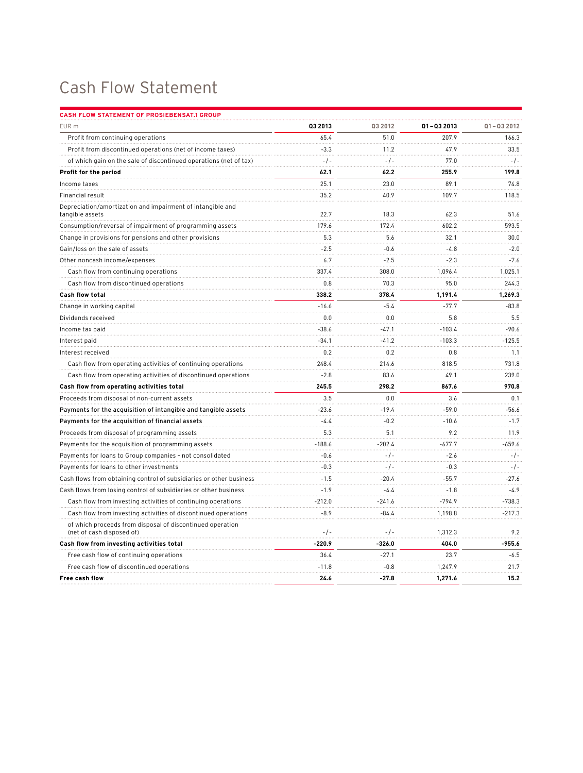## Cash Flow Statement

| CASH FLOW STATEMENT OF PROSIEBENSAT.1 GROUP                                            |          |          |            |            |
|----------------------------------------------------------------------------------------|----------|----------|------------|------------|
| EUR m                                                                                  | Q3 2013  | Q3 2012  | Q1-Q3 2013 | Q1-Q3 2012 |
| Profit from continuing operations                                                      | 65.4     | 51.0     | 207.9      | 166.3      |
| Profit from discontinued operations (net of income taxes)                              | $-3.3$   | 11.2     | 47.9       | 33.5       |
| of which gain on the sale of discontinued operations (net of tax)                      | $-/-$    | $-/-$    | 77.0       | $-/-$      |
| Profit for the period                                                                  | 62.1     | 62.2     | 255.9      | 199.8      |
| Income taxes                                                                           | 25.1     | 23.0     | 89.1       | 74.8       |
| Financial result                                                                       | 35.2     | 40.9     | 109.7      | 118.5      |
| Depreciation/amortization and impairment of intangible and<br>tangible assets          | 22.7     | 18.3     | 62.3       | 51.6       |
| Consumption/reversal of impairment of programming assets                               | 179.6    | 172.4    | 602.2      | 593.5      |
| Change in provisions for pensions and other provisions                                 | 5.3      | 5.6      | 32.1       | 30.0       |
| Gain/loss on the sale of assets                                                        | $-2.5$   | $-0.6$   | $-4.8$     | $-2.0$     |
| Other noncash income/expenses                                                          | 6.7      | $-2.5$   | $-2.3$     | $-7.6$     |
| Cash flow from continuing operations                                                   | 337.4    | 308.0    | 1,096.4    | 1,025.1    |
| Cash flow from discontinued operations                                                 | 0.8      | 70.3     | 95.0       | 244.3      |
| <b>Cash flow total</b>                                                                 | 338.2    | 378.4    | 1,191.4    | 1,269.3    |
| Change in working capital                                                              | $-16.6$  | $-5.4$   | $-77.7$    | $-83.8$    |
| Dividends received                                                                     | 0.0      | 0.0      | 5.8        | 5.5        |
| Income tax paid                                                                        | $-38.6$  | $-47.1$  | $-103.4$   | $-90.6$    |
| Interest paid                                                                          | $-34.1$  | $-41.2$  | $-103.3$   | $-125.5$   |
| Interest received                                                                      | 0.2      | 0.2      | 0.8        | 1.1        |
| Cash flow from operating activities of continuing operations                           | 248.4    | 214.6    | 818.5      | 731.8      |
| Cash flow from operating activities of discontinued operations                         | $-2.8$   | 83.6     | 49.1       | 239.0      |
| Cash flow from operating activities total                                              | 245.5    | 298.2    | 867.6      | 970.8      |
| Proceeds from disposal of non-current assets                                           | 3.5      | 0.0      | 3.6        | 0.1        |
| Payments for the acquisition of intangible and tangible assets                         | $-23.6$  | $-19.4$  | $-59.0$    | $-56.6$    |
| Payments for the acquisition of financial assets                                       | $-4.4$   | $-0.2$   | $-10.6$    | $-1.7$     |
| Proceeds from disposal of programming assets                                           | 5.3      | 5.1      | 9.2        | 11.9       |
| Payments for the acquisition of programming assets                                     | $-188.6$ | $-202.4$ | $-677.7$   | -659.6     |
| Payments for loans to Group companies - not consolidated                               | $-0.6$   | $-/-$    | $-2.6$     | $-/-$      |
| Payments for loans to other investments                                                | $-0.3$   | $-/-$    | $-0.3$     | $-/-$      |
| Cash flows from obtaining control of subsidiaries or other business                    | $-1.5$   | $-20.4$  | $-55.7$    | $-27.6$    |
| Cash flows from losing control of subsidiaries or other business                       | $-1.9$   | $-4.4$   | $-1.8$     | $-4.9$     |
| Cash flow from investing activities of continuing operations                           | $-212.0$ | $-241.6$ | $-794.9$   | $-738.3$   |
| Cash flow from investing activities of discontinued operations                         | $-8.9$   | $-84.4$  | 1,198.8    | $-217.3$   |
| of which proceeds from disposal of discontinued operation<br>(net of cash disposed of) | $-/-$    | $-/-$    | 1,312.3    | 9.2        |
| Cash flow from investing activities total                                              | $-220.9$ | $-326.0$ | 404.0      | $-955.6$   |
| Free cash flow of continuing operations                                                | 36.4     | $-27.1$  | 23.7       | $-6.5$     |
| Free cash flow of discontinued operations                                              | $-11.8$  | $-0.8$   | 1,247.9    | 21.7       |
| Free cash flow                                                                         | 24.6     | $-27.8$  | 1,271.6    | 15.2       |